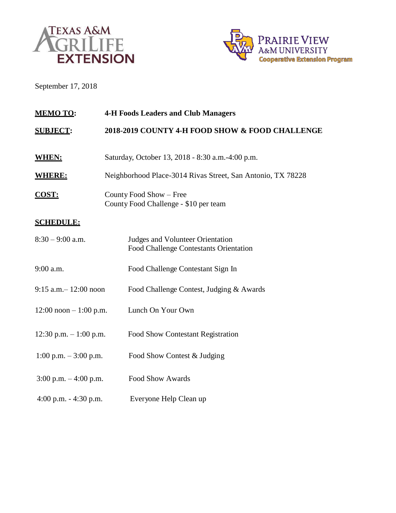



September 17, 2018

| <b>MEMO TO:</b>           | <b>4-H Foods Leaders and Club Managers</b>                                               |  |  |
|---------------------------|------------------------------------------------------------------------------------------|--|--|
| <b>SUBJECT:</b>           | 2018-2019 COUNTY 4-H FOOD SHOW & FOOD CHALLENGE                                          |  |  |
| <b>WHEN:</b>              | Saturday, October 13, 2018 - 8:30 a.m.-4:00 p.m.                                         |  |  |
| <b>WHERE:</b>             | Neighborhood Place-3014 Rivas Street, San Antonio, TX 78228                              |  |  |
| <b>COST:</b>              | County Food Show - Free<br>County Food Challenge - \$10 per team                         |  |  |
| <b>SCHEDULE:</b>          |                                                                                          |  |  |
| $8:30 - 9:00$ a.m.        | <b>Judges and Volunteer Orientation</b><br><b>Food Challenge Contestants Orientation</b> |  |  |
| 9:00 a.m.                 | Food Challenge Contestant Sign In                                                        |  |  |
| $9:15$ a.m. $-12:00$ noon | Food Challenge Contest, Judging & Awards                                                 |  |  |
| $12:00$ noon $-1:00$ p.m. | Lunch On Your Own                                                                        |  |  |
| 12:30 p.m. $-1:00$ p.m.   | <b>Food Show Contestant Registration</b>                                                 |  |  |
| $1:00$ p.m. $-3:00$ p.m.  | Food Show Contest & Judging                                                              |  |  |
| $3:00$ p.m. $-4:00$ p.m.  | <b>Food Show Awards</b>                                                                  |  |  |
| 4:00 p.m. $-$ 4:30 p.m.   | Everyone Help Clean up                                                                   |  |  |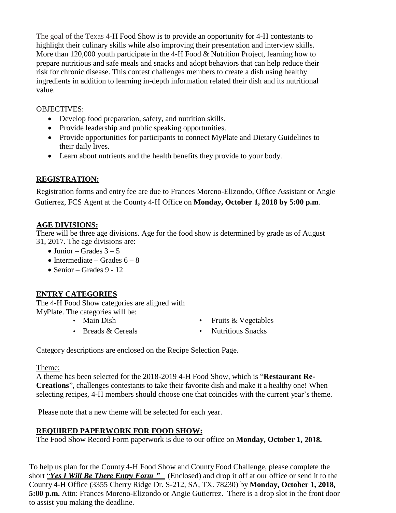The goal of the Texas 4-H Food Show is to provide an opportunity for 4-H contestants to highlight their culinary skills while also improving their presentation and interview skills. More than 120,000 youth participate in the 4-H Food & Nutrition Project, learning how to prepare nutritious and safe meals and snacks and adopt behaviors that can help reduce their risk for chronic disease. This contest challenges members to create a dish using healthy ingredients in addition to learning in-depth information related their dish and its nutritional value.

#### OBJECTIVES:

- Develop food preparation, safety, and nutrition skills.
- Provide leadership and public speaking opportunities.
- Provide opportunities for participants to connect MyPlate and Dietary Guidelines to their daily lives.
- Learn about nutrients and the health benefits they provide to your body.

### **REGISTRATION:**

Registration forms and entry fee are due to Frances Moreno-Elizondo, Office Assistant or Angie Gutierrez, FCS Agent at the County 4-H Office on **Monday, October 1, 2018 by 5:00 p.m**.

### **AGE DIVISIONS:**

There will be three age divisions. Age for the food show is determined by grade as of August 31, 2017. The age divisions are:

- $\bullet$  Junior Grades  $3-5$
- Intermediate Grades  $6 8$
- Senior Grades  $9 12$

### **ENTRY CATEGORIES**

The 4-H Food Show categories are aligned with MyPlate. The categories will be:

- 
- 
- Main Dish Fruits & Vegetables
- Breads & Cereals Nutritious Snacks

Category descriptions are enclosed on the Recipe Selection Page.

Theme:

A theme has been selected for the 2018-2019 4-H Food Show, which is "**Restaurant Re-Creations**", challenges contestants to take their favorite dish and make it a healthy one! When selecting recipes, 4-H members should choose one that coincides with the current year's theme.

Please note that a new theme will be selected for each year.

### **REQUIRED PAPERWORK FOR FOOD SHOW:**

The Food Show Record Form paperwork is due to our office on **Monday, October 1, 2018.**

To help us plan for the County 4-H Food Show and County Food Challenge, please complete the short "*Yes I Will Be There Entry Form "* (Enclosed) and drop it off at our office or send it to the County 4-H Office (3355 Cherry Ridge Dr. S-212, SA, TX. 78230) by **Monday, October 1, 2018, 5:00 p.m.** Attn: Frances Moreno-Elizondo or Angie Gutierrez. There is a drop slot in the front door to assist you making the deadline.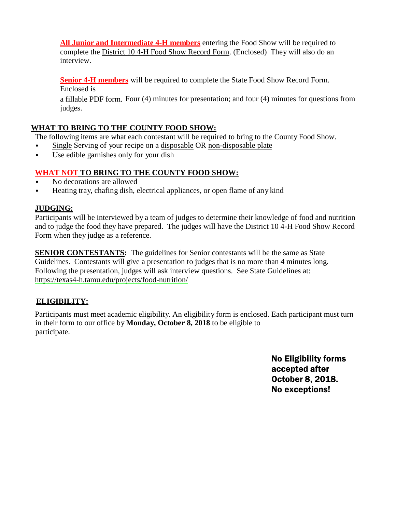**All Junior and Intermediate 4-H members** entering the Food Show will be required to complete the District 10 4-H Food Show Record Form. (Enclosed) They will also do an interview.

**Senior 4-H members** will be required to complete the State Food Show Record Form. Enclosed is

a fillable PDF form. Four (4) minutes for presentation; and four (4) minutes for questions from judges.

### **WHAT TO BRING TO THE COUNTY FOOD SHOW:**

The following items are what each contestant will be required to bring to the County Food Show.

- Single Serving of your recipe on a disposable OR non-disposable plate
- Use edible garnishes only for your dish

### **WHAT NOT TO BRING TO THE COUNTY FOOD SHOW:**

- No decorations are allowed
- Heating tray, chafing dish, electrical appliances, or open flame of any kind

### **JUDGING:**

Participants will be interviewed by a team of judges to determine their knowledge of food and nutrition and to judge the food they have prepared. The judges will have the District 10 4-H Food Show Record Form when they judge as a reference.

**SENIOR CONTESTANTS:** The guidelines for Senior contestants will be the same as State Guidelines. Contestants will give a presentation to judges that is no more than 4 minutes long. Following the presentation, judges will ask interview questions. See State Guidelines at: https://texas4-h.tamu.edu/projects/food-nutrition/

### **ELIGIBILITY:**

Participants must meet academic eligibility. An eligibility form is enclosed. Each participant must turn in their form to our office by **Monday, October 8, 2018** to be eligible to participate.

> No Eligibility forms accepted after October 8, 2018. No exceptions!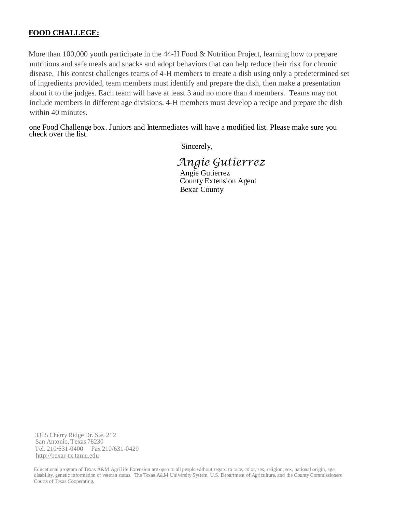#### **FOOD CHALLEGE:**

More than 100,000 youth participate in the 44-H Food & Nutrition Project, learning how to prepare nutritious and safe meals and snacks and adopt behaviors that can help reduce their risk for chronic disease. This contest challenges teams of 4-H members to create a dish using only a predetermined set of ingredients provided, team members must identify and prepare the dish, then make a presentation about it to the judges. Each team will have at least 3 and no more than 4 members. Teams may not include members in different age divisions. 4-H members must develop a recipe and prepare the dish within 40 minutes.

one Food Challenge box. Juniors and Intermediates will have a modified list. Please make sure you check over the list.

Sincerely,

*Angie Gutierrez* Angie Gutierrez

County Extension Agent Bexar County

3355 Cherry Ridge Dr. Ste. 212 San Antonio, Texas 78230 Tel. 210/631-0400 Fax 210/631-0429 [http://bexar-tx.tamu.edu](http://bexar-tx.tamu.edu/)

Educational program of Texas A&M AgriLife Extension are open to all people without regard to race, color, sex, religion, sex, national origin, age, disability, genetic information or veteran status. The Texas A&M University System, U.S. Department of Agriculture, and the County Commissioners Courts of Texas Cooperating.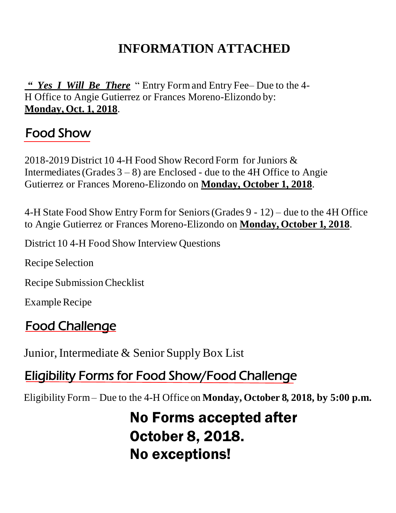# **INFORMATION ATTACHED**

*" Yes I Will Be There* " Entry Formand Entry Fee– Due to the 4- H Office to Angie Gutierrez or Frances Moreno-Elizondo by: **Monday, Oct. 1, 2018**.

## Food Show

2018-2019 District 10 4-H Food Show Record Form for Juniors & Intermediates (Grades  $3 - 8$ ) are Enclosed - due to the 4H Office to Angie Gutierrez or Frances Moreno-Elizondo on **Monday, October 1, 2018**.

4-H State Food Show Entry Form for Seniors(Grades 9 - 12) – due to the 4H Office to Angie Gutierrez or Frances Moreno-Elizondo on **Monday, October 1, 2018**.

District 10 4-H Food Show Interview Questions

Recipe Selection

Recipe SubmissionChecklist

Example Recipe

# Food Challenge

Junior, Intermediate & Senior Supply Box List

# Eligibility Forms for Food Show/Food Challenge

Eligibility Form– Due to the 4-H Office on **Monday, October 8, 2018, by 5:00 p.m.**

No Forms accepted after October 8, 2018. No exceptions!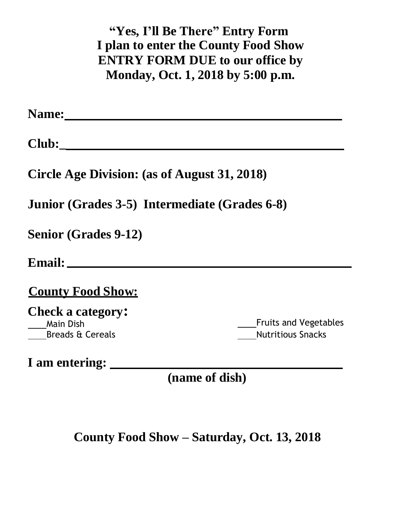**"Yes, I'll Be There" Entry Form I plan to enter the County Food Show ENTRY FORM DUE to our office by Monday, Oct. 1, 2018 by 5:00 p.m.**

**Name:** 

**Club:\_**

**Circle Age Division: (as of August 31, 2018)** 

**Junior (Grades 3-5) Intermediate (Grades 6-8)** 

**Senior (Grades 9-12)**

**Email:**

### **County Food Show:**

**Check a category:** Main Dish Breads & Cereals

Fruits and Vegetables Nutritious Snacks

**I am entering:**

**(name of dish)**

## **County Food Show – Saturday, Oct. 13, 2018**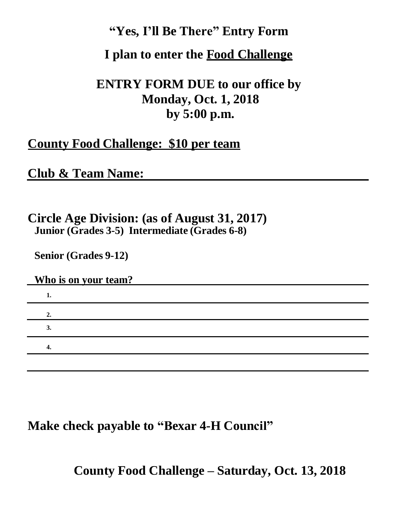### **"Yes, I'll Be There" Entry Form**

### **I plan to enter the Food Challenge**

## **ENTRY FORM DUE to our office by Monday, Oct. 1, 2018 by 5:00 p.m.**

### **County Food Challenge: \$10 per team**

### **Club & Team Name:**

### **Circle Age Division: (as of August 31, 2017) Junior (Grades 3-5) Intermediate (Grades 6-8)**

**Senior (Grades 9-12)**

### **Who is on your team?**

| ı.             |  |  |  |
|----------------|--|--|--|
|                |  |  |  |
| $\mathbf{J}$ . |  |  |  |
|                |  |  |  |
|                |  |  |  |

### **Make check payable to "Bexar 4-H Council"**

**County Food Challenge – Saturday, Oct. 13, 2018**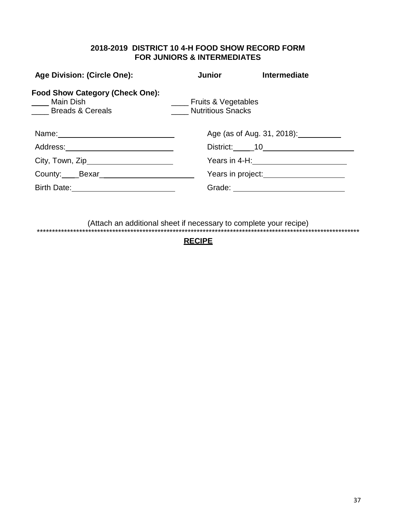### **2018-2019 DISTRICT 10 4-H FOOD SHOW RECORD FORM FOR JUNIORS & INTERMEDIATES**

| <b>Age Division: (Circle One):</b>                                              | <b>Junior</b>                                       | <b>Intermediate</b>                            |
|---------------------------------------------------------------------------------|-----------------------------------------------------|------------------------------------------------|
| <b>Food Show Category (Check One):</b><br>Main Dish<br><b>Example 3</b> Cereals | ___ Fruits & Vegetables<br><b>Nutritious Snacks</b> |                                                |
|                                                                                 |                                                     | Age (as of Aug. 31, 2018): <u>[</u> [16]       |
| Address: ______________________________                                         |                                                     |                                                |
| City, Town, Zip_________________________                                        |                                                     | Years in 4-H: _________________________        |
|                                                                                 |                                                     | Years in project:<br><u> Vears in project:</u> |
|                                                                                 |                                                     |                                                |
|                                                                                 |                                                     |                                                |

(Attach an additional sheet if necessary to complete your recipe)

\*\*\*\*\*\*\*\*\*\*\*\*\*\*\*\*\*\*\*\*\*\*\*\*\*\*\*\*\*\*\*\*\*\*\*\*\*\*\*\*\*\*\*\*\*\*\*\*\*\*\*\*\*\*\*\*\*\*\*\*\*\*\*\*\*\*\*\*\*\*\*\*\*\*\*\*\*\*\*\*\*\*\*\*\*\*\*\*\*\*\*\*\*\*\*\*\*\*\*\*\*\*\*\*\*\*\* **RECIPE**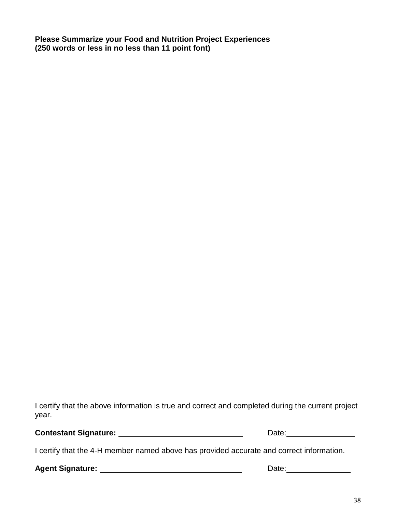**Please Summarize your Food and Nutrition Project Experiences (250 words or less in no less than 11 point font)**

I certify that the above information is true and correct and completed during the current project year.

**Contestant Signature:** Date:

I certify that the 4-H member named above has provided accurate and correct information.

**Agent Signature:** Date: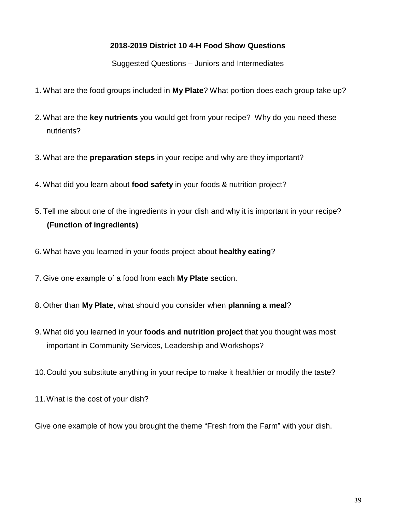### **2018-2019 District 10 4-H Food Show Questions**

Suggested Questions – Juniors and Intermediates

- 1. What are the food groups included in **My Plate**? What portion does each group take up?
- 2. What are the **key nutrients** you would get from your recipe? Why do you need these nutrients?
- 3. What are the **preparation steps** in your recipe and why are they important?
- 4. What did you learn about **food safety** in your foods & nutrition project?
- 5. Tell me about one of the ingredients in your dish and why it is important in your recipe? **(Function of ingredients)**
- 6. What have you learned in your foods project about **healthy eating**?
- 7. Give one example of a food from each **My Plate** section.
- 8. Other than **My Plate**, what should you consider when **planning a meal**?
- 9. What did you learned in your **foods and nutrition project** that you thought was most important in Community Services, Leadership and Workshops?
- 10.Could you substitute anything in your recipe to make it healthier or modify the taste?
- 11.What is the cost of your dish?

Give one example of how you brought the theme "Fresh from the Farm" with your dish.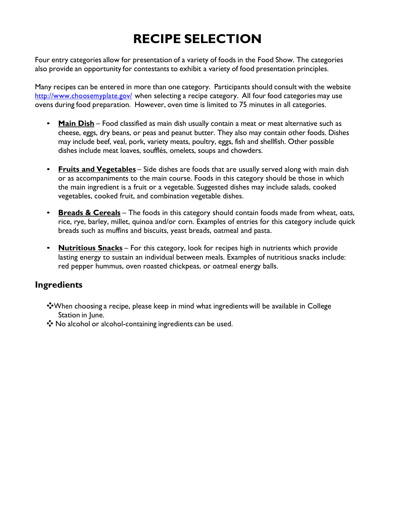# **RECIPE SELECTION**

Four entry categories allow for presentation of a variety of foods in the Food Show. The categories also provide an opportunity for contestants to exhibit a variety of food presentation principles.

Many recipes can be entered in more than one category. Participants should consult with the website <http://www.choosemyplate.gov/> when selecting a recipe category. All four food categories may use ovens during food preparation. However, oven time is limited to 75 minutes in all categories.

- **Main Dish** Food classified as main dish usually contain a meat or meat alternative such as cheese, eggs, dry beans, or peas and peanut butter. They also may contain other foods. Dishes may include beef, veal, pork, variety meats, poultry, eggs, fish and shellfish. Other possible dishes include meat loaves, soufflés, omelets, soups and chowders.
- **Fruits and Vegetables** Side dishes are foods that are usually served along with main dish or as accompaniments to the main course. Foods in this category should be those in which the main ingredient is a fruit or a vegetable. Suggested dishes may include salads, cooked vegetables, cooked fruit, and combination vegetable dishes.
- **Breads & Cereals** The foods in this category should contain foods made from wheat, oats, rice, rye, barley, millet, quinoa and/or corn. Examples of entries for this category include quick breads such as muffins and biscuits, yeast breads, oatmeal and pasta.
- **Nutritious Snacks** For this category, look for recipes high in nutrients which provide lasting energy to sustain an individual between meals. Examples of nutritious snacks include: red pepper hummus, oven roasted chickpeas, or oatmeal energy balls.

### **Ingredients**

- ❖When choosing a recipe, please keep in mind what ingredients will be available in College Station in June.
- ❖ No alcohol or alcohol-containing ingredients can be used.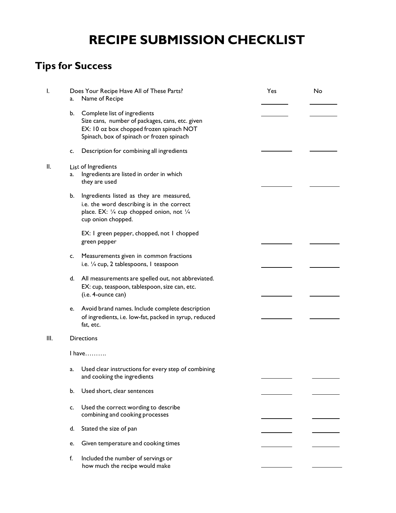# **RECIPE SUBMISSION CHECKLIST**

## **Tips for Success**

| I.   | Does Your Recipe Have All of These Parts?<br>Name of Recipe<br>a.                                                                                                              | Yes | No |
|------|--------------------------------------------------------------------------------------------------------------------------------------------------------------------------------|-----|----|
|      | b.<br>Complete list of ingredients<br>Size cans, number of packages, cans, etc. given<br>EX: 10 oz box chopped frozen spinach NOT<br>Spinach, box of spinach or frozen spinach |     |    |
|      | Description for combining all ingredients<br>c.                                                                                                                                |     |    |
| П.   | List of Ingredients<br>Ingredients are listed in order in which<br>a.<br>they are used                                                                                         |     |    |
|      | b.<br>Ingredients listed as they are measured,<br>i.e. the word describing is in the correct<br>place. EX: 1/4 cup chopped onion, not 1/4<br>cup onion chopped.                |     |    |
|      | EX: I green pepper, chopped, not I chopped<br>green pepper                                                                                                                     |     |    |
|      | Measurements given in common fractions<br>c.<br>i.e. 1/4 cup, 2 tablespoons, I teaspoon                                                                                        |     |    |
|      | d. All measurements are spelled out, not abbreviated.<br>EX: cup, teaspoon, tablespoon, size can, etc.<br>(i.e. 4-ounce can)                                                   |     |    |
|      | Avoid brand names. Include complete description<br>e.<br>of ingredients, i.e. low-fat, packed in syrup, reduced<br>fat, etc.                                                   |     |    |
| III. | <b>Directions</b>                                                                                                                                                              |     |    |
|      | $l$ have                                                                                                                                                                       |     |    |
|      | Used clear instructions for every step of combining<br>a.<br>and cooking the ingredients                                                                                       |     |    |
|      | b.<br>Used short, clear sentences                                                                                                                                              |     |    |
|      | Used the correct wording to describe<br>c.<br>combining and cooking processes                                                                                                  |     |    |
|      | Stated the size of pan<br>d.                                                                                                                                                   |     |    |
|      | Given temperature and cooking times<br>e.                                                                                                                                      |     |    |
|      | f.<br>Included the number of servings or<br>how much the recipe would make                                                                                                     |     |    |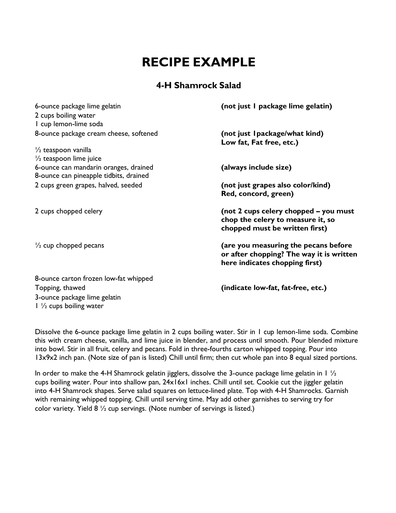# **RECIPE EXAMPLE**

### **4-H Shamrock Salad**

| 6-ounce package lime gelatin                                                    | (not just I package lime gelatin)                                                                                  |
|---------------------------------------------------------------------------------|--------------------------------------------------------------------------------------------------------------------|
| 2 cups boiling water                                                            |                                                                                                                    |
| I cup lemon-lime soda                                                           |                                                                                                                    |
| 8-ounce package cream cheese, softened                                          | (not just I package/what kind)<br>Low fat, Fat free, etc.)                                                         |
| $\frac{1}{2}$ teaspoon vanilla                                                  |                                                                                                                    |
| $\frac{1}{2}$ teaspoon lime juice                                               |                                                                                                                    |
| 6-ounce can mandarin oranges, drained<br>8-ounce can pineapple tidbits, drained | (always include size)                                                                                              |
| 2 cups green grapes, halved, seeded                                             | (not just grapes also color/kind)<br>Red, concord, green)                                                          |
| 2 cups chopped celery                                                           | (not 2 cups celery chopped - you must<br>chop the celery to measure it, so<br>chopped must be written first)       |
| $\frac{1}{2}$ cup chopped pecans                                                | (are you measuring the pecans before<br>or after chopping? The way it is written<br>here indicates chopping first) |
| 8-ounce carton frozen low-fat whipped                                           |                                                                                                                    |
| Topping, thawed                                                                 | (indicate low-fat, fat-free, etc.)                                                                                 |
| 3-ounce package lime gelatin                                                    |                                                                                                                    |

Dissolve the 6-ounce package lime gelatin in 2 cups boiling water. Stir in 1 cup lemon-lime soda. Combine this with cream cheese, vanilla, and lime juice in blender, and process until smooth. Pour blended mixture into bowl. Stir in all fruit, celery and pecans. Fold in three-fourths carton whipped topping. Pour into 13x9x2 inch pan. (Note size of pan is listed) Chill until firm; then cut whole pan into 8 equal sized portions.

1 ½ cups boiling water

In order to make the 4-H Shamrock gelatin jigglers, dissolve the 3-ounce package lime gelatin in 1 1/2 cups boiling water. Pour into shallow pan, 24x16x1 inches. Chill until set. Cookie cut the jiggler gelatin into 4-H Shamrock shapes. Serve salad squares on lettuce-lined plate. Top with 4-H Shamrocks. Garnish with remaining whipped topping. Chill until serving time. May add other garnishes to serving try for color variety. Yield 8 ½ cup servings. (Note number of servings is listed.)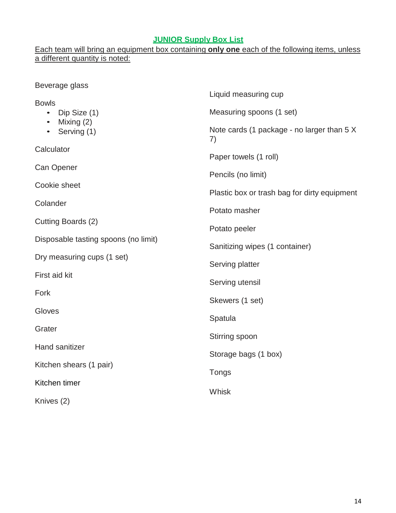### **JUNIOR Supply Box List**

### Each team will bring an equipment box containing **only one** each of the following items, unless a different quantity is noted:

| Beverage glass                       |                                                  |
|--------------------------------------|--------------------------------------------------|
| <b>Bowls</b>                         | Liquid measuring cup                             |
| Dip Size (1)                         | Measuring spoons (1 set)                         |
| Mixing (2)<br>Serving (1)            | Note cards (1 package - no larger than 5 X<br>7) |
| Calculator                           | Paper towels (1 roll)                            |
| Can Opener                           | Pencils (no limit)                               |
| Cookie sheet                         | Plastic box or trash bag for dirty equipment     |
| Colander                             | Potato masher                                    |
| Cutting Boards (2)                   | Potato peeler                                    |
| Disposable tasting spoons (no limit) | Sanitizing wipes (1 container)                   |
| Dry measuring cups (1 set)           | Serving platter                                  |
| First aid kit                        | Serving utensil                                  |
| Fork                                 | Skewers (1 set)                                  |
| Gloves                               | Spatula                                          |
| Grater                               | Stirring spoon                                   |
| Hand sanitizer                       | Storage bags (1 box)                             |
| Kitchen shears (1 pair)              |                                                  |
| Kitchen timer                        | Tongs                                            |
| Knives (2)                           | Whisk                                            |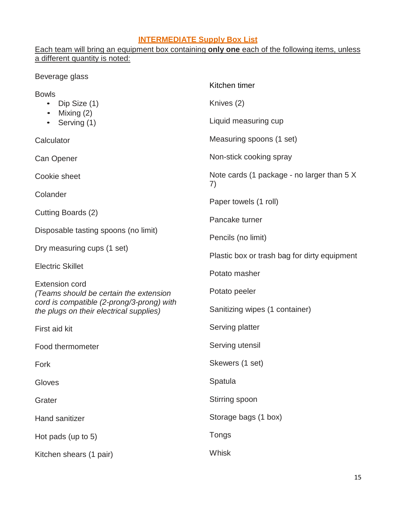#### **INTERMEDIATE Supply Box List**

### Each team will bring an equipment box containing **only one** each of the following items, unless a different quantity is noted:

Beverage glass Bowls • Dip Size (1) • Mixing (2) • Serving (1) **Calculator** Can Opener Cookie sheet Colander Cutting Boards (2) Disposable tasting spoons (no limit) Dry measuring cups (1 set) Electric Skillet Extension cord *(Teams should be certain the extension cord is compatible (2-prong/3-prong) with the plugs on their electrical supplies)* First aid kit Food thermometer Fork Gloves **Grater** Hand sanitizer Hot pads (up to 5) Kitchen shears (1 pair) Kitchen timer Knives (2) Liquid measuring cup Measuring spoons (1 set) Non-stick cooking spray Note cards (1 package - no larger than 5 X 7) Paper towels (1 roll) Pancake turner Pencils (no limit) Plastic box or trash bag for dirty equipment Potato masher Potato peeler Sanitizing wipes (1 container) Serving platter Serving utensil Skewers (1 set) **Spatula** Stirring spoon Storage bags (1 box) Tongs Whisk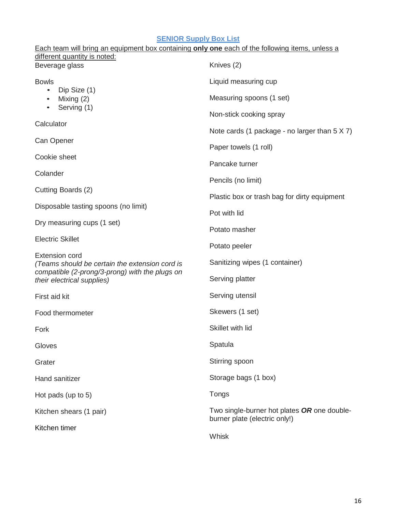### **SENIOR Supply Box List**

| Each team will bring an equipment box containing only one each of the following items, unless a |                                                                              |  |
|-------------------------------------------------------------------------------------------------|------------------------------------------------------------------------------|--|
| different quantity is noted:<br>Beverage glass                                                  | Knives (2)                                                                   |  |
| <b>Bowls</b>                                                                                    | Liquid measuring cup                                                         |  |
| Dip Size (1)<br>Mixing $(2)$                                                                    | Measuring spoons (1 set)                                                     |  |
| Serving (1)<br>$\bullet$                                                                        | Non-stick cooking spray                                                      |  |
| Calculator                                                                                      | Note cards (1 package - no larger than $5 \times 7$ )                        |  |
| Can Opener                                                                                      | Paper towels (1 roll)                                                        |  |
| Cookie sheet                                                                                    | Pancake turner                                                               |  |
| Colander                                                                                        |                                                                              |  |
| Cutting Boards (2)                                                                              | Pencils (no limit)                                                           |  |
|                                                                                                 | Plastic box or trash bag for dirty equipment                                 |  |
| Disposable tasting spoons (no limit)                                                            | Pot with lid                                                                 |  |
| Dry measuring cups (1 set)                                                                      | Potato masher                                                                |  |
| <b>Electric Skillet</b>                                                                         | Potato peeler                                                                |  |
| <b>Extension cord</b><br>(Teams should be certain the extension cord is                         | Sanitizing wipes (1 container)                                               |  |
| compatible (2-prong/3-prong) with the plugs on<br>their electrical supplies)                    | Serving platter                                                              |  |
| First aid kit                                                                                   | Serving utensil                                                              |  |
| Food thermometer                                                                                | Skewers (1 set)                                                              |  |
| Fork                                                                                            | Skillet with lid                                                             |  |
| Gloves                                                                                          | Spatula                                                                      |  |
| Grater                                                                                          | Stirring spoon                                                               |  |
| Hand sanitizer                                                                                  | Storage bags (1 box)                                                         |  |
| Hot pads (up to 5)                                                                              | Tongs                                                                        |  |
| Kitchen shears (1 pair)                                                                         | Two single-burner hot plates OR one double-<br>burner plate (electric only!) |  |
| Kitchen timer                                                                                   | Whisk                                                                        |  |